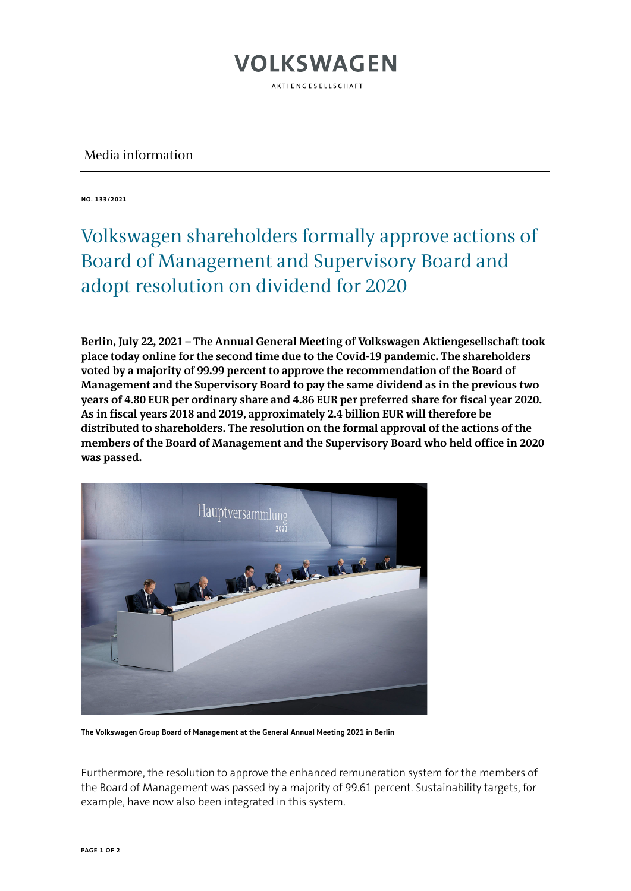## **VOLKSWAGEN** AKTIENGESELLSCHAFT

Media information

**NO. 133/2021**

## Volkswagen shareholders formally approve actions of Board of Management and Supervisory Board and adopt resolution on dividend for 2020

**Berlin, July 22, 2021 – The Annual General Meeting of Volkswagen Aktiengesellschaft took place today online for the second time due to the Covid-19 pandemic. The shareholders voted by a majority of 99.99 percent to approve the recommendation of the Board of Management and the Supervisory Board to pay the same dividend as in the previous two years of 4.80 EUR per ordinary share and 4.86 EUR per preferred share for fiscal year 2020. As in fiscal years 2018 and 2019, approximately 2.4 billion EUR will therefore be distributed to shareholders. The resolution on the formal approval of the actions of the members of the Board of Management and the Supervisory Board who held office in 2020 was passed.**



**The Volkswagen Group Board of Management at the General Annual Meeting 2021 in Berlin**

Furthermore, the resolution to approve the enhanced remuneration system for the members of the Board of Management was passed by a majority of 99.61 percent. Sustainability targets, for example, have now also been integrated in this system.